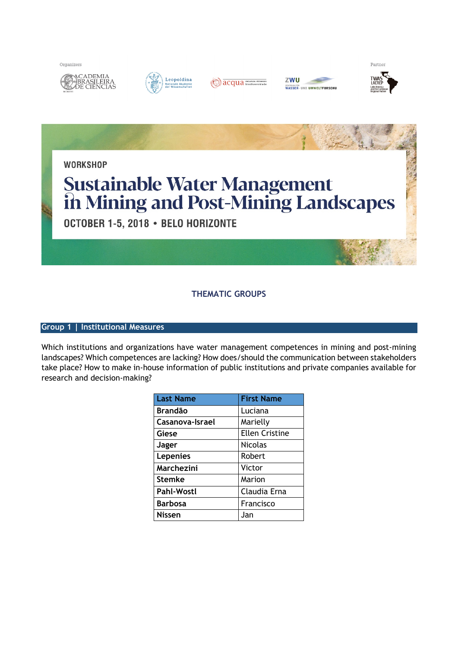Organizers







| zwu        |                                         |
|------------|-----------------------------------------|
| ENTRUM FÜR | <b><i>NASSER- UND UMWELTFORSCHU</i></b> |





## **THEMATIC GROUPS**

## **Group 1 | Institutional Measures**

Which institutions and organizations have water management competences in mining and post-mining landscapes? Which competences are lacking? How does/should the communication between stakeholders take place? How to make in-house information of public institutions and private companies available for research and decision-making?

| <b>Last Name</b>  | <b>First Name</b>     |
|-------------------|-----------------------|
| <b>Brandão</b>    | Luciana               |
| Casanova-Israel   | Marielly              |
| Giese             | <b>Ellen Cristine</b> |
| Jager             | <b>Nicolas</b>        |
| <b>Lepenies</b>   | Robert                |
| Marchezini        | Victor                |
| <b>Stemke</b>     | Marion                |
| <b>Pahl-Wostl</b> | Claudia Erna          |
| <b>Barbosa</b>    | Francisco             |
| <b>Nissen</b>     | Jan                   |